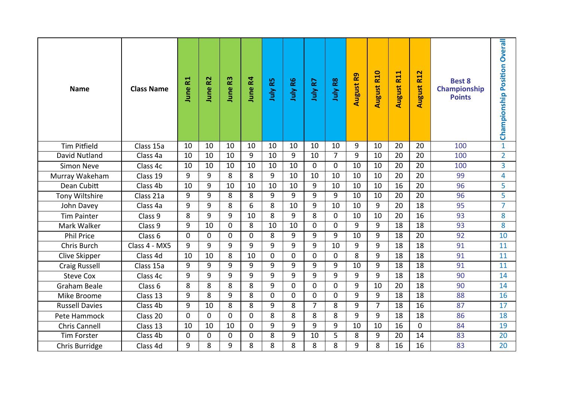| <b>Name</b>           | <b>Class Name</b> | <b>June R1</b> | R <sub>2</sub><br>June | June R3        | June R4        | July R5     | July R6        | July R7        | July R8     | <b>August R9</b> | <b>August R10</b> | <b>August R11</b> | <b>August R12</b> | <b>Best 8</b><br>Championship<br><b>Points</b> | <b>Overall</b><br>Championship Position |
|-----------------------|-------------------|----------------|------------------------|----------------|----------------|-------------|----------------|----------------|-------------|------------------|-------------------|-------------------|-------------------|------------------------------------------------|-----------------------------------------|
| <b>Tim Pitfield</b>   | Class 15a         | 10             | 10                     | 10             | 10             | 10          | 10             | 10             | 10          | 9                | 10                | 20                | 20                | 100                                            | $\mathbf{1}$                            |
| David Nutland         | Class 4a          | 10             | 10                     | 10             | 9              | 10          | 9              | 10             | 7           | 9                | 10                | 20                | 20                | 100                                            | $\overline{2}$                          |
| <b>Simon Neve</b>     | Class 4c          | 10             | 10                     | 10             | 10             | 10          | 10             | 0              | $\mathbf 0$ | 10               | 10                | 20                | 20                | 100                                            | $\overline{3}$                          |
| Murray Wakeham        | Class 19          | 9              | 9                      | 8              | 8              | 9           | 10             | 10             | 10          | 10               | 10                | 20                | 20                | 99                                             | 4                                       |
| Dean Cubitt           | Class 4b          | 10             | 9                      | 10             | 10             | 10          | 10             | 9              | 10          | 10               | 10                | 16                | 20                | 96                                             | 5                                       |
| Tony Wiltshire        | Class 21a         | 9              | 9                      | 8              | 8              | 9           | 9              | 9              | 9           | 10               | 10                | 20                | 20                | 96                                             | 5                                       |
| John Davey            | Class 4a          | 9              | 9                      | 8              | 6              | 8           | 10             | 9              | 10          | 10               | 9                 | 20                | $\overline{18}$   | 95                                             | $\overline{7}$                          |
| <b>Tim Painter</b>    | Class 9           | 8              | 9                      | 9              | 10             | 8           | 9              | 8              | 0           | 10               | 10                | 20                | 16                | 93                                             | 8                                       |
| Mark Walker           | Class 9           | $\overline{9}$ | 10                     | $\mathbf 0$    | 8              | 10          | 10             | 0              | $\mathbf 0$ | 9                | 9                 | 18                | 18                | 93                                             | 8                                       |
| <b>Phil Price</b>     | Class 6           | $\Omega$       | $\Omega$               | $\overline{0}$ | $\Omega$       | 8           | 9              | 9              | 9           | 10               | 9                 | 18                | 20                | 92                                             | 10                                      |
| <b>Chris Burch</b>    | Class 4 - MX5     | 9              | 9                      | 9              | 9              | 9           | $\overline{9}$ | 9              | 10          | 9                | 9                 | 18                | 18                | 91                                             | 11                                      |
| Clive Skipper         | Class 4d          | 10             | 10                     | 8              | 10             | $\mathbf 0$ | 0              | $\Omega$       | $\mathbf 0$ | 8                | 9                 | 18                | 18                | 91                                             | 11                                      |
| <b>Craig Russell</b>  | Class 15a         | 9              | 9                      | 9              | 9              | 9           | 9              | 9              | 9           | 10               | 9                 | 18                | 18                | 91                                             | 11                                      |
| <b>Steve Cox</b>      | Class 4c          | 9              | 9                      | 9              | 9              | 9           | 9              | 9              | 9           | 9                | 9                 | 18                | 18                | 90                                             | 14                                      |
| <b>Graham Beale</b>   | Class 6           | 8              | 8                      | 8              | 8              | 9           | 0              | $\Omega$       | $\Omega$    | 9                | 10                | 20                | 18                | 90                                             | 14                                      |
| Mike Broome           | Class 13          | 9              | 8                      | 9              | 8              | $\mathbf 0$ | 0              | 0              | $\mathbf 0$ | 9                | 9                 | 18                | 18                | 88                                             | 16                                      |
| <b>Russell Davies</b> | Class 4b          | 9              | 10                     | 8              | 8              | 9           | 8              | $\overline{7}$ | 8           | 9                | $\overline{7}$    | 18                | 16                | 87                                             | 17                                      |
| Pete Hammock          | Class 20          | $\mathbf 0$    | $\Omega$               | $\mathbf 0$    | $\overline{0}$ | 8           | 8              | 8              | 8           | 9                | 9                 | 18                | 18                | 86                                             | 18                                      |
| Chris Cannell         | Class 13          | 10             | 10                     | 10             | $\mathbf 0$    | 9           | 9              | 9              | 9           | 10               | 10                | 16                | $\mathbf 0$       | 84                                             | 19                                      |
| <b>Tim Forster</b>    | Class 4b          | $\mathbf 0$    | 0                      | $\mathbf 0$    | $\mathbf 0$    | 8           | 9              | 10             | 5           | 8                | 9                 | 20                | 14                | 83                                             | 20                                      |
| Chris Burridge        | Class 4d          | 9              | 8                      | 9              | 8              | 8           | 8              | 8              | 8           | 9                | 8                 | 16                | 16                | 83                                             | 20                                      |